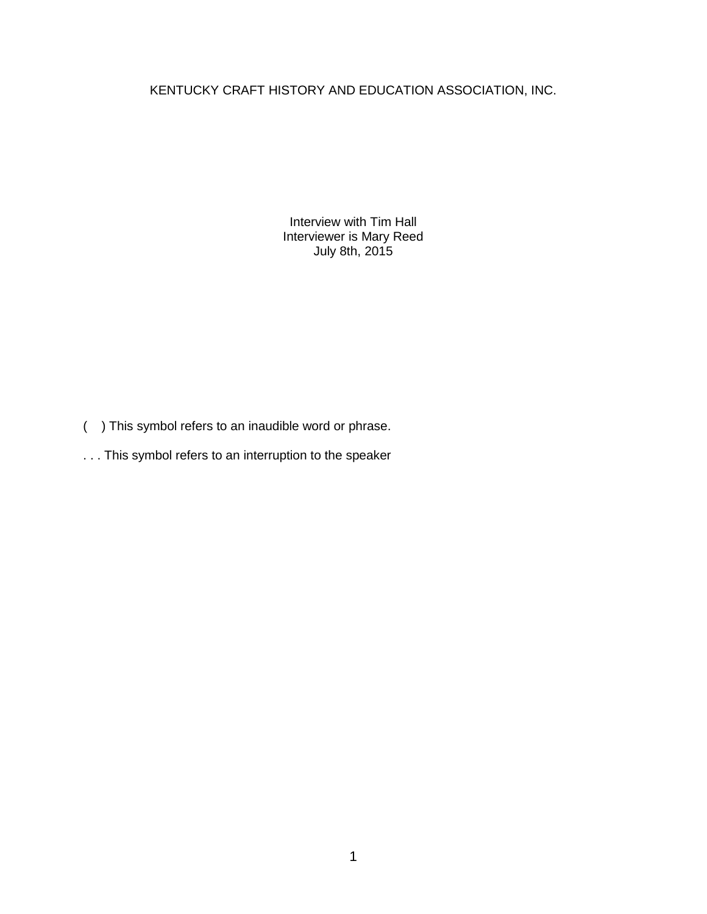## KENTUCKY CRAFT HISTORY AND EDUCATION ASSOCIATION, INC.

Interview with Tim Hall Interviewer is Mary Reed July 8th, 2015

- ( ) This symbol refers to an inaudible word or phrase.
- . . . This symbol refers to an interruption to the speaker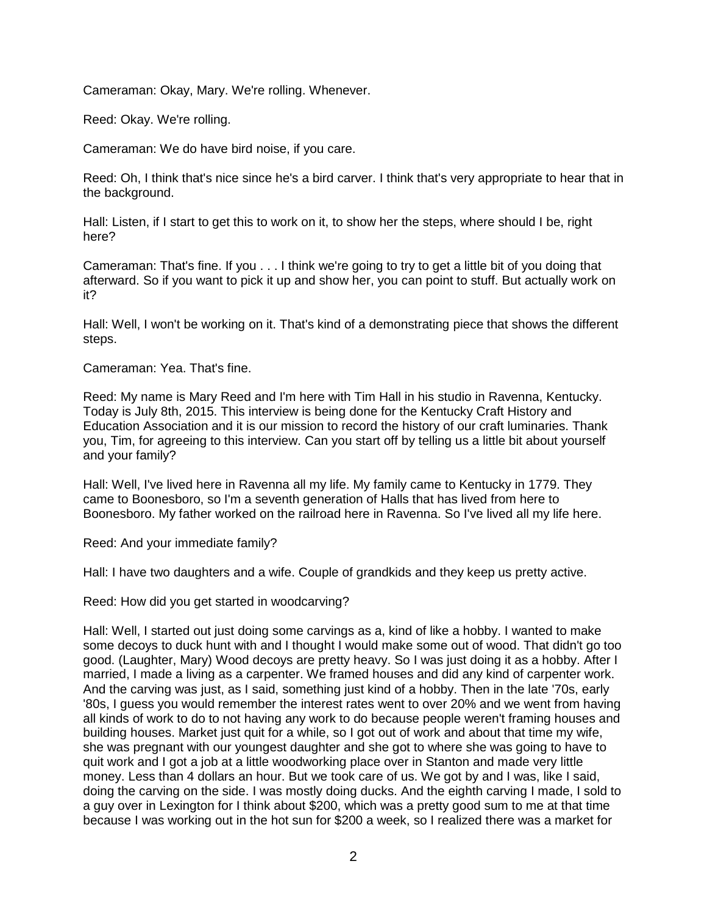Cameraman: Okay, Mary. We're rolling. Whenever.

Reed: Okay. We're rolling.

Cameraman: We do have bird noise, if you care.

Reed: Oh, I think that's nice since he's a bird carver. I think that's very appropriate to hear that in the background.

Hall: Listen, if I start to get this to work on it, to show her the steps, where should I be, right here?

Cameraman: That's fine. If you . . . I think we're going to try to get a little bit of you doing that afterward. So if you want to pick it up and show her, you can point to stuff. But actually work on it?

Hall: Well, I won't be working on it. That's kind of a demonstrating piece that shows the different steps.

Cameraman: Yea. That's fine.

Reed: My name is Mary Reed and I'm here with Tim Hall in his studio in Ravenna, Kentucky. Today is July 8th, 2015. This interview is being done for the Kentucky Craft History and Education Association and it is our mission to record the history of our craft luminaries. Thank you, Tim, for agreeing to this interview. Can you start off by telling us a little bit about yourself and your family?

Hall: Well, I've lived here in Ravenna all my life. My family came to Kentucky in 1779. They came to Boonesboro, so I'm a seventh generation of Halls that has lived from here to Boonesboro. My father worked on the railroad here in Ravenna. So I've lived all my life here.

Reed: And your immediate family?

Hall: I have two daughters and a wife. Couple of grandkids and they keep us pretty active.

Reed: How did you get started in woodcarving?

Hall: Well, I started out just doing some carvings as a, kind of like a hobby. I wanted to make some decoys to duck hunt with and I thought I would make some out of wood. That didn't go too good. (Laughter, Mary) Wood decoys are pretty heavy. So I was just doing it as a hobby. After I married, I made a living as a carpenter. We framed houses and did any kind of carpenter work. And the carving was just, as I said, something just kind of a hobby. Then in the late '70s, early '80s, I guess you would remember the interest rates went to over 20% and we went from having all kinds of work to do to not having any work to do because people weren't framing houses and building houses. Market just quit for a while, so I got out of work and about that time my wife, she was pregnant with our youngest daughter and she got to where she was going to have to quit work and I got a job at a little woodworking place over in Stanton and made very little money. Less than 4 dollars an hour. But we took care of us. We got by and I was, like I said, doing the carving on the side. I was mostly doing ducks. And the eighth carving I made, I sold to a guy over in Lexington for I think about \$200, which was a pretty good sum to me at that time because I was working out in the hot sun for \$200 a week, so I realized there was a market for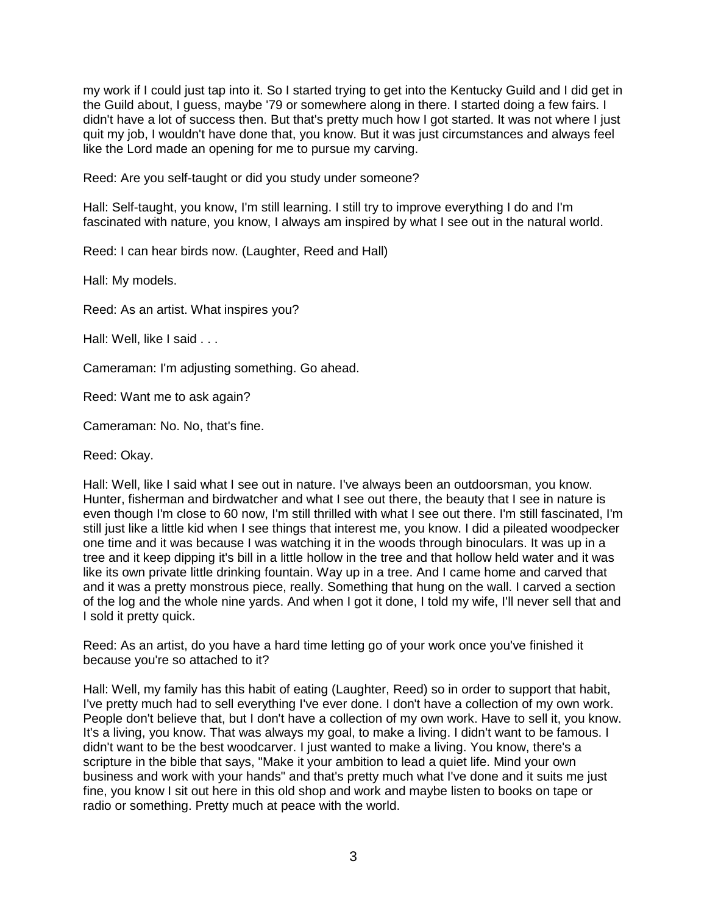my work if I could just tap into it. So I started trying to get into the Kentucky Guild and I did get in the Guild about, I guess, maybe '79 or somewhere along in there. I started doing a few fairs. I didn't have a lot of success then. But that's pretty much how I got started. It was not where I just quit my job, I wouldn't have done that, you know. But it was just circumstances and always feel like the Lord made an opening for me to pursue my carving.

Reed: Are you self-taught or did you study under someone?

Hall: Self-taught, you know, I'm still learning. I still try to improve everything I do and I'm fascinated with nature, you know, I always am inspired by what I see out in the natural world.

Reed: I can hear birds now. (Laughter, Reed and Hall)

Hall: My models.

Reed: As an artist. What inspires you?

Hall: Well, like I said . . .

Cameraman: I'm adjusting something. Go ahead.

Reed: Want me to ask again?

Cameraman: No. No, that's fine.

Reed: Okay.

Hall: Well, like I said what I see out in nature. I've always been an outdoorsman, you know. Hunter, fisherman and birdwatcher and what I see out there, the beauty that I see in nature is even though I'm close to 60 now, I'm still thrilled with what I see out there. I'm still fascinated, I'm still just like a little kid when I see things that interest me, you know. I did a pileated woodpecker one time and it was because I was watching it in the woods through binoculars. It was up in a tree and it keep dipping it's bill in a little hollow in the tree and that hollow held water and it was like its own private little drinking fountain. Way up in a tree. And I came home and carved that and it was a pretty monstrous piece, really. Something that hung on the wall. I carved a section of the log and the whole nine yards. And when I got it done, I told my wife, I'll never sell that and I sold it pretty quick.

Reed: As an artist, do you have a hard time letting go of your work once you've finished it because you're so attached to it?

Hall: Well, my family has this habit of eating (Laughter, Reed) so in order to support that habit, I've pretty much had to sell everything I've ever done. I don't have a collection of my own work. People don't believe that, but I don't have a collection of my own work. Have to sell it, you know. It's a living, you know. That was always my goal, to make a living. I didn't want to be famous. I didn't want to be the best woodcarver. I just wanted to make a living. You know, there's a scripture in the bible that says, "Make it your ambition to lead a quiet life. Mind your own business and work with your hands" and that's pretty much what I've done and it suits me just fine, you know I sit out here in this old shop and work and maybe listen to books on tape or radio or something. Pretty much at peace with the world.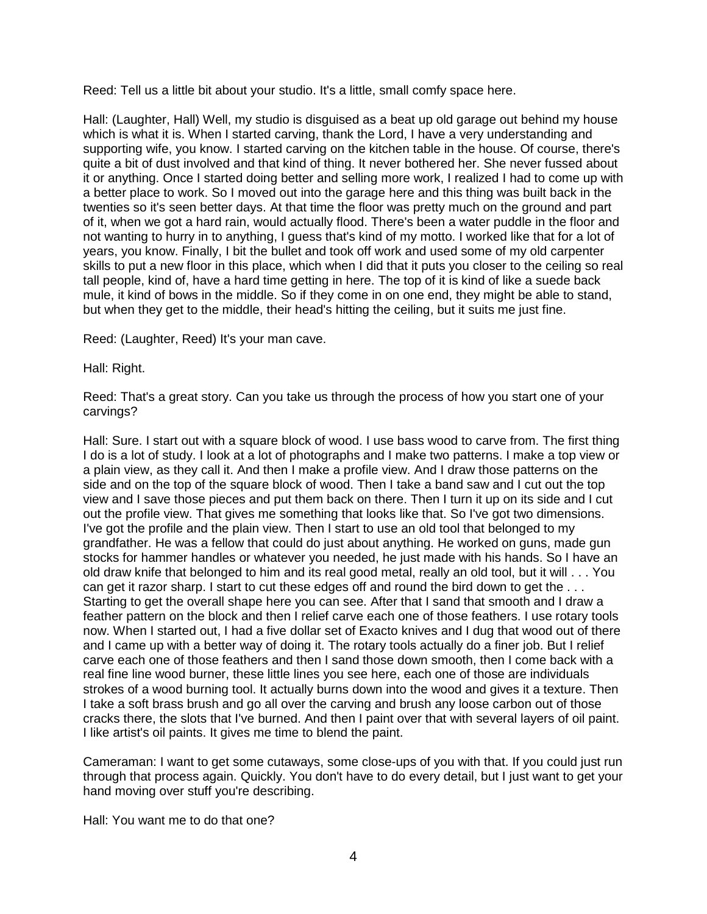Reed: Tell us a little bit about your studio. It's a little, small comfy space here.

Hall: (Laughter, Hall) Well, my studio is disguised as a beat up old garage out behind my house which is what it is. When I started carving, thank the Lord, I have a very understanding and supporting wife, you know. I started carving on the kitchen table in the house. Of course, there's quite a bit of dust involved and that kind of thing. It never bothered her. She never fussed about it or anything. Once I started doing better and selling more work, I realized I had to come up with a better place to work. So I moved out into the garage here and this thing was built back in the twenties so it's seen better days. At that time the floor was pretty much on the ground and part of it, when we got a hard rain, would actually flood. There's been a water puddle in the floor and not wanting to hurry in to anything, I guess that's kind of my motto. I worked like that for a lot of years, you know. Finally, I bit the bullet and took off work and used some of my old carpenter skills to put a new floor in this place, which when I did that it puts you closer to the ceiling so real tall people, kind of, have a hard time getting in here. The top of it is kind of like a suede back mule, it kind of bows in the middle. So if they come in on one end, they might be able to stand, but when they get to the middle, their head's hitting the ceiling, but it suits me just fine.

Reed: (Laughter, Reed) It's your man cave.

Hall: Right.

Reed: That's a great story. Can you take us through the process of how you start one of your carvings?

Hall: Sure. I start out with a square block of wood. I use bass wood to carve from. The first thing I do is a lot of study. I look at a lot of photographs and I make two patterns. I make a top view or a plain view, as they call it. And then I make a profile view. And I draw those patterns on the side and on the top of the square block of wood. Then I take a band saw and I cut out the top view and I save those pieces and put them back on there. Then I turn it up on its side and I cut out the profile view. That gives me something that looks like that. So I've got two dimensions. I've got the profile and the plain view. Then I start to use an old tool that belonged to my grandfather. He was a fellow that could do just about anything. He worked on guns, made gun stocks for hammer handles or whatever you needed, he just made with his hands. So I have an old draw knife that belonged to him and its real good metal, really an old tool, but it will . . . You can get it razor sharp. I start to cut these edges off and round the bird down to get the . . . Starting to get the overall shape here you can see. After that I sand that smooth and I draw a feather pattern on the block and then I relief carve each one of those feathers. I use rotary tools now. When I started out, I had a five dollar set of Exacto knives and I dug that wood out of there and I came up with a better way of doing it. The rotary tools actually do a finer job. But I relief carve each one of those feathers and then I sand those down smooth, then I come back with a real fine line wood burner, these little lines you see here, each one of those are individuals strokes of a wood burning tool. It actually burns down into the wood and gives it a texture. Then I take a soft brass brush and go all over the carving and brush any loose carbon out of those cracks there, the slots that I've burned. And then I paint over that with several layers of oil paint. I like artist's oil paints. It gives me time to blend the paint.

Cameraman: I want to get some cutaways, some close-ups of you with that. If you could just run through that process again. Quickly. You don't have to do every detail, but I just want to get your hand moving over stuff you're describing.

Hall: You want me to do that one?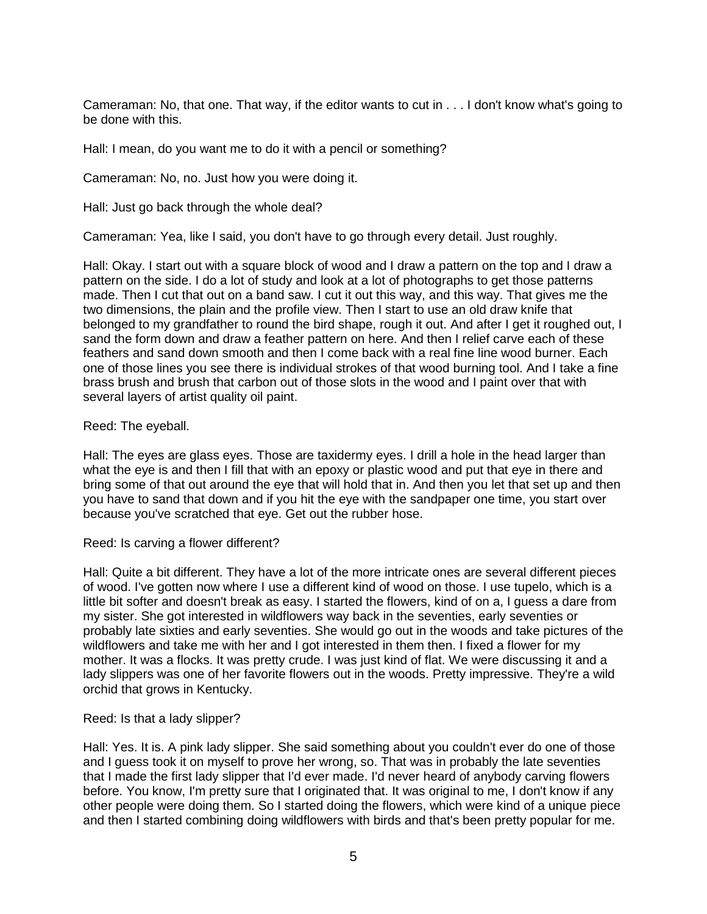Cameraman: No, that one. That way, if the editor wants to cut in . . . I don't know what's going to be done with this.

Hall: I mean, do you want me to do it with a pencil or something?

Cameraman: No, no. Just how you were doing it.

Hall: Just go back through the whole deal?

Cameraman: Yea, like I said, you don't have to go through every detail. Just roughly.

Hall: Okay. I start out with a square block of wood and I draw a pattern on the top and I draw a pattern on the side. I do a lot of study and look at a lot of photographs to get those patterns made. Then I cut that out on a band saw. I cut it out this way, and this way. That gives me the two dimensions, the plain and the profile view. Then I start to use an old draw knife that belonged to my grandfather to round the bird shape, rough it out. And after I get it roughed out, I sand the form down and draw a feather pattern on here. And then I relief carve each of these feathers and sand down smooth and then I come back with a real fine line wood burner. Each one of those lines you see there is individual strokes of that wood burning tool. And I take a fine brass brush and brush that carbon out of those slots in the wood and I paint over that with several layers of artist quality oil paint.

## Reed: The eyeball.

Hall: The eyes are glass eyes. Those are taxidermy eyes. I drill a hole in the head larger than what the eye is and then I fill that with an epoxy or plastic wood and put that eye in there and bring some of that out around the eye that will hold that in. And then you let that set up and then you have to sand that down and if you hit the eye with the sandpaper one time, you start over because you've scratched that eye. Get out the rubber hose.

Reed: Is carving a flower different?

Hall: Quite a bit different. They have a lot of the more intricate ones are several different pieces of wood. I've gotten now where I use a different kind of wood on those. I use tupelo, which is a little bit softer and doesn't break as easy. I started the flowers, kind of on a, I guess a dare from my sister. She got interested in wildflowers way back in the seventies, early seventies or probably late sixties and early seventies. She would go out in the woods and take pictures of the wildflowers and take me with her and I got interested in them then. I fixed a flower for my mother. It was a flocks. It was pretty crude. I was just kind of flat. We were discussing it and a lady slippers was one of her favorite flowers out in the woods. Pretty impressive. They're a wild orchid that grows in Kentucky.

## Reed: Is that a lady slipper?

Hall: Yes. It is. A pink lady slipper. She said something about you couldn't ever do one of those and I guess took it on myself to prove her wrong, so. That was in probably the late seventies that I made the first lady slipper that I'd ever made. I'd never heard of anybody carving flowers before. You know, I'm pretty sure that I originated that. It was original to me, I don't know if any other people were doing them. So I started doing the flowers, which were kind of a unique piece and then I started combining doing wildflowers with birds and that's been pretty popular for me.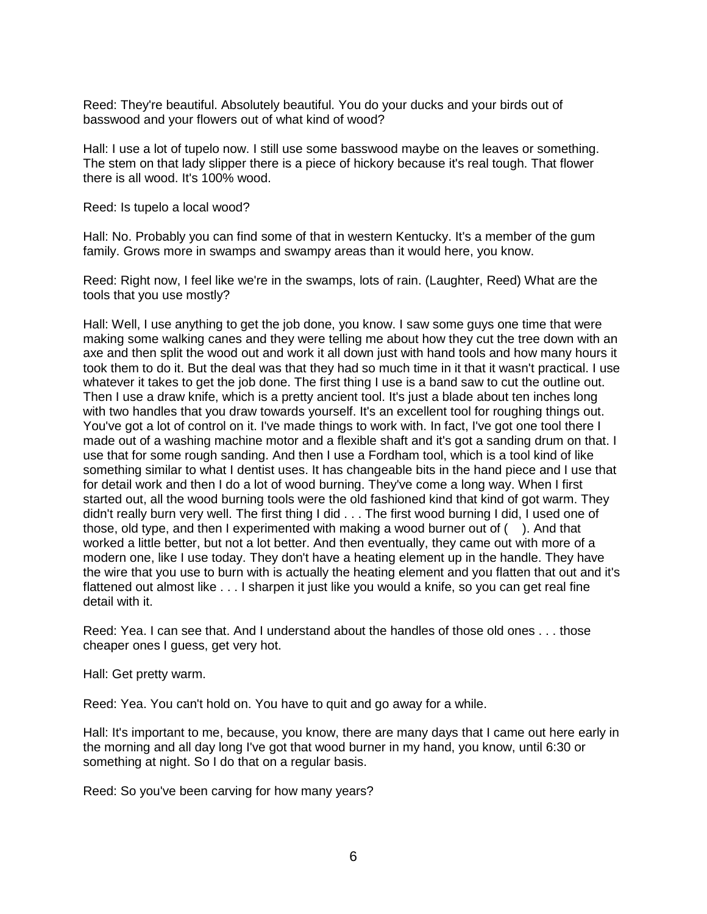Reed: They're beautiful. Absolutely beautiful. You do your ducks and your birds out of basswood and your flowers out of what kind of wood?

Hall: I use a lot of tupelo now. I still use some basswood maybe on the leaves or something. The stem on that lady slipper there is a piece of hickory because it's real tough. That flower there is all wood. It's 100% wood.

Reed: Is tupelo a local wood?

Hall: No. Probably you can find some of that in western Kentucky. It's a member of the gum family. Grows more in swamps and swampy areas than it would here, you know.

Reed: Right now, I feel like we're in the swamps, lots of rain. (Laughter, Reed) What are the tools that you use mostly?

Hall: Well, I use anything to get the job done, you know. I saw some guys one time that were making some walking canes and they were telling me about how they cut the tree down with an axe and then split the wood out and work it all down just with hand tools and how many hours it took them to do it. But the deal was that they had so much time in it that it wasn't practical. I use whatever it takes to get the job done. The first thing I use is a band saw to cut the outline out. Then I use a draw knife, which is a pretty ancient tool. It's just a blade about ten inches long with two handles that you draw towards yourself. It's an excellent tool for roughing things out. You've got a lot of control on it. I've made things to work with. In fact, I've got one tool there I made out of a washing machine motor and a flexible shaft and it's got a sanding drum on that. I use that for some rough sanding. And then I use a Fordham tool, which is a tool kind of like something similar to what I dentist uses. It has changeable bits in the hand piece and I use that for detail work and then I do a lot of wood burning. They've come a long way. When I first started out, all the wood burning tools were the old fashioned kind that kind of got warm. They didn't really burn very well. The first thing I did . . . The first wood burning I did, I used one of those, old type, and then I experimented with making a wood burner out of ( ). And that worked a little better, but not a lot better. And then eventually, they came out with more of a modern one, like I use today. They don't have a heating element up in the handle. They have the wire that you use to burn with is actually the heating element and you flatten that out and it's flattened out almost like . . . I sharpen it just like you would a knife, so you can get real fine detail with it.

Reed: Yea. I can see that. And I understand about the handles of those old ones . . . those cheaper ones I guess, get very hot.

Hall: Get pretty warm.

Reed: Yea. You can't hold on. You have to quit and go away for a while.

Hall: It's important to me, because, you know, there are many days that I came out here early in the morning and all day long I've got that wood burner in my hand, you know, until 6:30 or something at night. So I do that on a regular basis.

Reed: So you've been carving for how many years?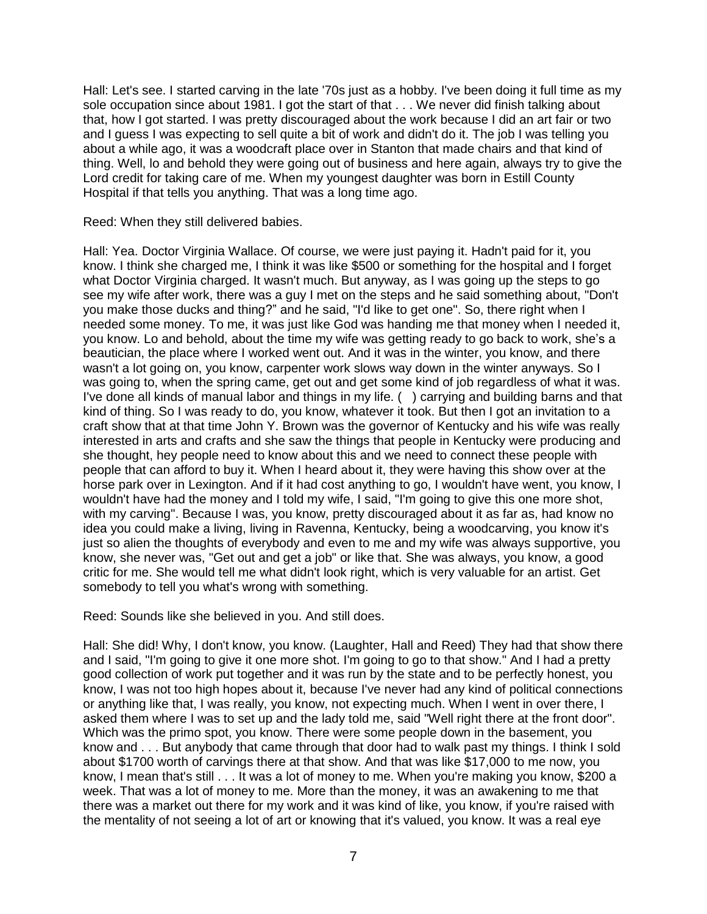Hall: Let's see. I started carving in the late '70s just as a hobby. I've been doing it full time as my sole occupation since about 1981. I got the start of that . . . We never did finish talking about that, how I got started. I was pretty discouraged about the work because I did an art fair or two and I guess I was expecting to sell quite a bit of work and didn't do it. The job I was telling you about a while ago, it was a woodcraft place over in Stanton that made chairs and that kind of thing. Well, lo and behold they were going out of business and here again, always try to give the Lord credit for taking care of me. When my youngest daughter was born in Estill County Hospital if that tells you anything. That was a long time ago.

Reed: When they still delivered babies.

Hall: Yea. Doctor Virginia Wallace. Of course, we were just paying it. Hadn't paid for it, you know. I think she charged me, I think it was like \$500 or something for the hospital and I forget what Doctor Virginia charged. It wasn't much. But anyway, as I was going up the steps to go see my wife after work, there was a guy I met on the steps and he said something about, "Don't you make those ducks and thing?" and he said, "I'd like to get one". So, there right when I needed some money. To me, it was just like God was handing me that money when I needed it, you know. Lo and behold, about the time my wife was getting ready to go back to work, she's a beautician, the place where I worked went out. And it was in the winter, you know, and there wasn't a lot going on, you know, carpenter work slows way down in the winter anyways. So I was going to, when the spring came, get out and get some kind of job regardless of what it was. I've done all kinds of manual labor and things in my life. ( ) carrying and building barns and that kind of thing. So I was ready to do, you know, whatever it took. But then I got an invitation to a craft show that at that time John Y. Brown was the governor of Kentucky and his wife was really interested in arts and crafts and she saw the things that people in Kentucky were producing and she thought, hey people need to know about this and we need to connect these people with people that can afford to buy it. When I heard about it, they were having this show over at the horse park over in Lexington. And if it had cost anything to go, I wouldn't have went, you know, I wouldn't have had the money and I told my wife, I said, "I'm going to give this one more shot, with my carving". Because I was, you know, pretty discouraged about it as far as, had know no idea you could make a living, living in Ravenna, Kentucky, being a woodcarving, you know it's just so alien the thoughts of everybody and even to me and my wife was always supportive, you know, she never was, "Get out and get a job" or like that. She was always, you know, a good critic for me. She would tell me what didn't look right, which is very valuable for an artist. Get somebody to tell you what's wrong with something.

Reed: Sounds like she believed in you. And still does.

Hall: She did! Why, I don't know, you know. (Laughter, Hall and Reed) They had that show there and I said, "I'm going to give it one more shot. I'm going to go to that show." And I had a pretty good collection of work put together and it was run by the state and to be perfectly honest, you know, I was not too high hopes about it, because I've never had any kind of political connections or anything like that, I was really, you know, not expecting much. When I went in over there, I asked them where I was to set up and the lady told me, said "Well right there at the front door". Which was the primo spot, you know. There were some people down in the basement, you know and . . . But anybody that came through that door had to walk past my things. I think I sold about \$1700 worth of carvings there at that show. And that was like \$17,000 to me now, you know, I mean that's still . . . It was a lot of money to me. When you're making you know, \$200 a week. That was a lot of money to me. More than the money, it was an awakening to me that there was a market out there for my work and it was kind of like, you know, if you're raised with the mentality of not seeing a lot of art or knowing that it's valued, you know. It was a real eye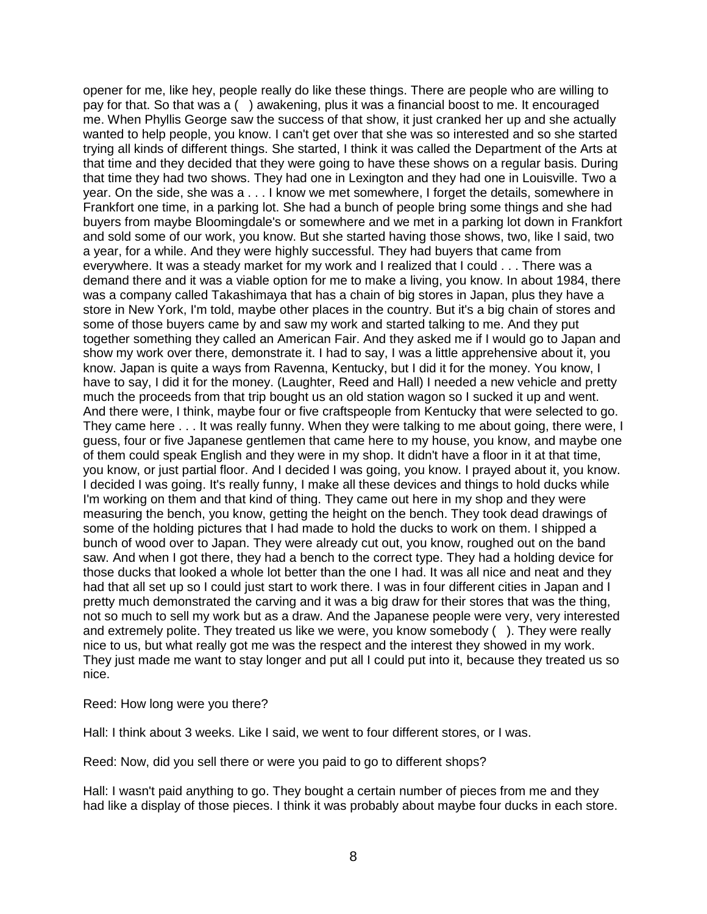opener for me, like hey, people really do like these things. There are people who are willing to pay for that. So that was a ( ) awakening, plus it was a financial boost to me. It encouraged me. When Phyllis George saw the success of that show, it just cranked her up and she actually wanted to help people, you know. I can't get over that she was so interested and so she started trying all kinds of different things. She started, I think it was called the Department of the Arts at that time and they decided that they were going to have these shows on a regular basis. During that time they had two shows. They had one in Lexington and they had one in Louisville. Two a year. On the side, she was a . . . I know we met somewhere, I forget the details, somewhere in Frankfort one time, in a parking lot. She had a bunch of people bring some things and she had buyers from maybe Bloomingdale's or somewhere and we met in a parking lot down in Frankfort and sold some of our work, you know. But she started having those shows, two, like I said, two a year, for a while. And they were highly successful. They had buyers that came from everywhere. It was a steady market for my work and I realized that I could . . . There was a demand there and it was a viable option for me to make a living, you know. In about 1984, there was a company called Takashimaya that has a chain of big stores in Japan, plus they have a store in New York, I'm told, maybe other places in the country. But it's a big chain of stores and some of those buyers came by and saw my work and started talking to me. And they put together something they called an American Fair. And they asked me if I would go to Japan and show my work over there, demonstrate it. I had to say, I was a little apprehensive about it, you know. Japan is quite a ways from Ravenna, Kentucky, but I did it for the money. You know, I have to say, I did it for the money. (Laughter, Reed and Hall) I needed a new vehicle and pretty much the proceeds from that trip bought us an old station wagon so I sucked it up and went. And there were, I think, maybe four or five craftspeople from Kentucky that were selected to go. They came here . . . It was really funny. When they were talking to me about going, there were, I guess, four or five Japanese gentlemen that came here to my house, you know, and maybe one of them could speak English and they were in my shop. It didn't have a floor in it at that time, you know, or just partial floor. And I decided I was going, you know. I prayed about it, you know. I decided I was going. It's really funny, I make all these devices and things to hold ducks while I'm working on them and that kind of thing. They came out here in my shop and they were measuring the bench, you know, getting the height on the bench. They took dead drawings of some of the holding pictures that I had made to hold the ducks to work on them. I shipped a bunch of wood over to Japan. They were already cut out, you know, roughed out on the band saw. And when I got there, they had a bench to the correct type. They had a holding device for those ducks that looked a whole lot better than the one I had. It was all nice and neat and they had that all set up so I could just start to work there. I was in four different cities in Japan and I pretty much demonstrated the carving and it was a big draw for their stores that was the thing, not so much to sell my work but as a draw. And the Japanese people were very, very interested and extremely polite. They treated us like we were, you know somebody ( ). They were really nice to us, but what really got me was the respect and the interest they showed in my work. They just made me want to stay longer and put all I could put into it, because they treated us so nice.

Reed: How long were you there?

Hall: I think about 3 weeks. Like I said, we went to four different stores, or I was.

Reed: Now, did you sell there or were you paid to go to different shops?

Hall: I wasn't paid anything to go. They bought a certain number of pieces from me and they had like a display of those pieces. I think it was probably about maybe four ducks in each store.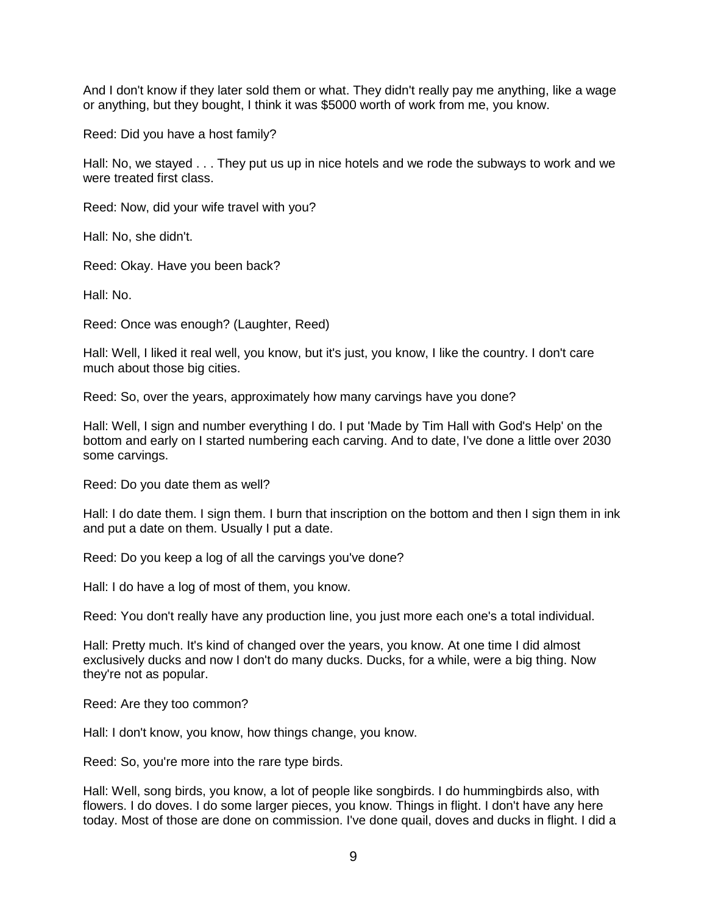And I don't know if they later sold them or what. They didn't really pay me anything, like a wage or anything, but they bought, I think it was \$5000 worth of work from me, you know.

Reed: Did you have a host family?

Hall: No, we stayed . . . They put us up in nice hotels and we rode the subways to work and we were treated first class.

Reed: Now, did your wife travel with you?

Hall: No, she didn't.

Reed: Okay. Have you been back?

Hall: No.

Reed: Once was enough? (Laughter, Reed)

Hall: Well, I liked it real well, you know, but it's just, you know, I like the country. I don't care much about those big cities.

Reed: So, over the years, approximately how many carvings have you done?

Hall: Well, I sign and number everything I do. I put 'Made by Tim Hall with God's Help' on the bottom and early on I started numbering each carving. And to date, I've done a little over 2030 some carvings.

Reed: Do you date them as well?

Hall: I do date them. I sign them. I burn that inscription on the bottom and then I sign them in ink and put a date on them. Usually I put a date.

Reed: Do you keep a log of all the carvings you've done?

Hall: I do have a log of most of them, you know.

Reed: You don't really have any production line, you just more each one's a total individual.

Hall: Pretty much. It's kind of changed over the years, you know. At one time I did almost exclusively ducks and now I don't do many ducks. Ducks, for a while, were a big thing. Now they're not as popular.

Reed: Are they too common?

Hall: I don't know, you know, how things change, you know.

Reed: So, you're more into the rare type birds.

Hall: Well, song birds, you know, a lot of people like songbirds. I do hummingbirds also, with flowers. I do doves. I do some larger pieces, you know. Things in flight. I don't have any here today. Most of those are done on commission. I've done quail, doves and ducks in flight. I did a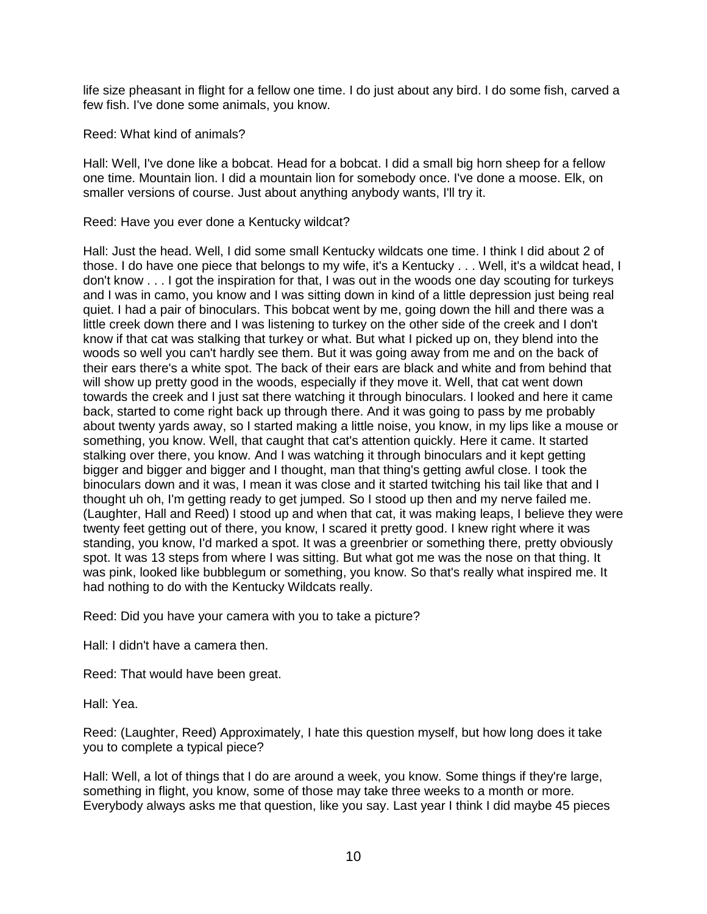life size pheasant in flight for a fellow one time. I do just about any bird. I do some fish, carved a few fish. I've done some animals, you know.

Reed: What kind of animals?

Hall: Well, I've done like a bobcat. Head for a bobcat. I did a small big horn sheep for a fellow one time. Mountain lion. I did a mountain lion for somebody once. I've done a moose. Elk, on smaller versions of course. Just about anything anybody wants, I'll try it.

Reed: Have you ever done a Kentucky wildcat?

Hall: Just the head. Well, I did some small Kentucky wildcats one time. I think I did about 2 of those. I do have one piece that belongs to my wife, it's a Kentucky . . . Well, it's a wildcat head, I don't know . . . I got the inspiration for that, I was out in the woods one day scouting for turkeys and I was in camo, you know and I was sitting down in kind of a little depression just being real quiet. I had a pair of binoculars. This bobcat went by me, going down the hill and there was a little creek down there and I was listening to turkey on the other side of the creek and I don't know if that cat was stalking that turkey or what. But what I picked up on, they blend into the woods so well you can't hardly see them. But it was going away from me and on the back of their ears there's a white spot. The back of their ears are black and white and from behind that will show up pretty good in the woods, especially if they move it. Well, that cat went down towards the creek and I just sat there watching it through binoculars. I looked and here it came back, started to come right back up through there. And it was going to pass by me probably about twenty yards away, so I started making a little noise, you know, in my lips like a mouse or something, you know. Well, that caught that cat's attention quickly. Here it came. It started stalking over there, you know. And I was watching it through binoculars and it kept getting bigger and bigger and bigger and I thought, man that thing's getting awful close. I took the binoculars down and it was, I mean it was close and it started twitching his tail like that and I thought uh oh, I'm getting ready to get jumped. So I stood up then and my nerve failed me. (Laughter, Hall and Reed) I stood up and when that cat, it was making leaps, I believe they were twenty feet getting out of there, you know, I scared it pretty good. I knew right where it was standing, you know, I'd marked a spot. It was a greenbrier or something there, pretty obviously spot. It was 13 steps from where I was sitting. But what got me was the nose on that thing. It was pink, looked like bubblegum or something, you know. So that's really what inspired me. It had nothing to do with the Kentucky Wildcats really.

Reed: Did you have your camera with you to take a picture?

Hall: I didn't have a camera then.

Reed: That would have been great.

Hall: Yea.

Reed: (Laughter, Reed) Approximately, I hate this question myself, but how long does it take you to complete a typical piece?

Hall: Well, a lot of things that I do are around a week, you know. Some things if they're large, something in flight, you know, some of those may take three weeks to a month or more. Everybody always asks me that question, like you say. Last year I think I did maybe 45 pieces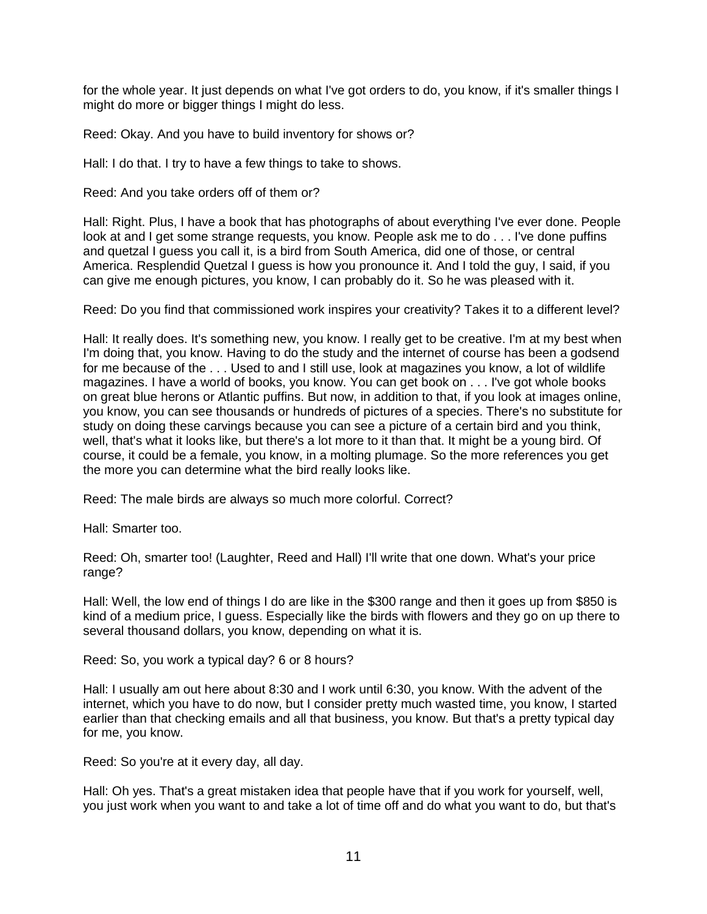for the whole year. It just depends on what I've got orders to do, you know, if it's smaller things I might do more or bigger things I might do less.

Reed: Okay. And you have to build inventory for shows or?

Hall: I do that. I try to have a few things to take to shows.

Reed: And you take orders off of them or?

Hall: Right. Plus, I have a book that has photographs of about everything I've ever done. People look at and I get some strange requests, you know. People ask me to do . . . I've done puffins and quetzal I guess you call it, is a bird from South America, did one of those, or central America. Resplendid Quetzal I guess is how you pronounce it. And I told the guy, I said, if you can give me enough pictures, you know, I can probably do it. So he was pleased with it.

Reed: Do you find that commissioned work inspires your creativity? Takes it to a different level?

Hall: It really does. It's something new, you know. I really get to be creative. I'm at my best when I'm doing that, you know. Having to do the study and the internet of course has been a godsend for me because of the . . . Used to and I still use, look at magazines you know, a lot of wildlife magazines. I have a world of books, you know. You can get book on . . . I've got whole books on great blue herons or Atlantic puffins. But now, in addition to that, if you look at images online, you know, you can see thousands or hundreds of pictures of a species. There's no substitute for study on doing these carvings because you can see a picture of a certain bird and you think, well, that's what it looks like, but there's a lot more to it than that. It might be a young bird. Of course, it could be a female, you know, in a molting plumage. So the more references you get the more you can determine what the bird really looks like.

Reed: The male birds are always so much more colorful. Correct?

Hall: Smarter too.

Reed: Oh, smarter too! (Laughter, Reed and Hall) I'll write that one down. What's your price range?

Hall: Well, the low end of things I do are like in the \$300 range and then it goes up from \$850 is kind of a medium price, I guess. Especially like the birds with flowers and they go on up there to several thousand dollars, you know, depending on what it is.

Reed: So, you work a typical day? 6 or 8 hours?

Hall: I usually am out here about 8:30 and I work until 6:30, you know. With the advent of the internet, which you have to do now, but I consider pretty much wasted time, you know, I started earlier than that checking emails and all that business, you know. But that's a pretty typical day for me, you know.

Reed: So you're at it every day, all day.

Hall: Oh yes. That's a great mistaken idea that people have that if you work for yourself, well, you just work when you want to and take a lot of time off and do what you want to do, but that's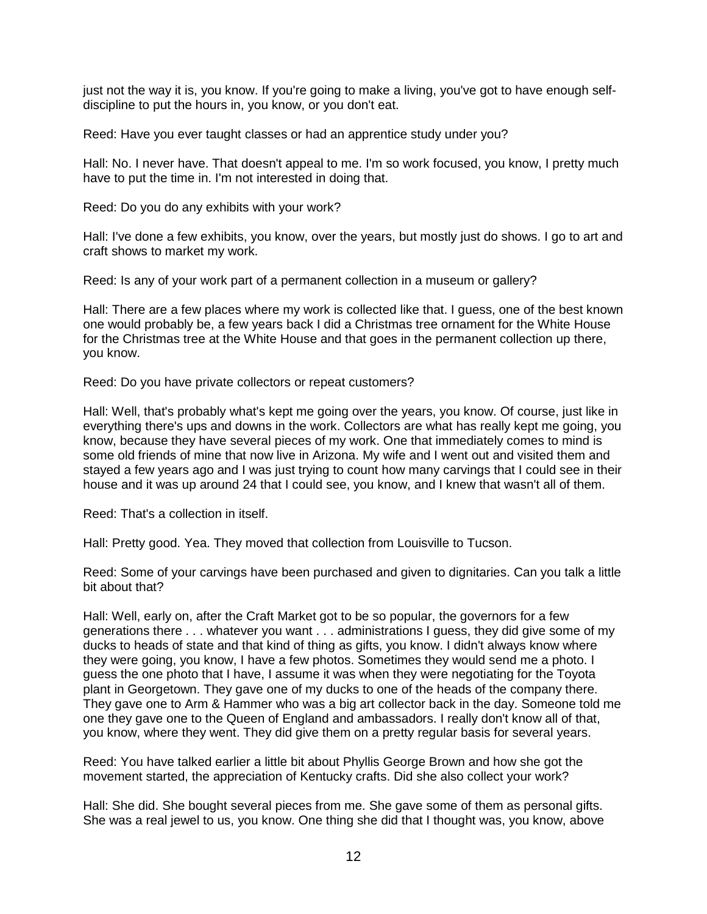just not the way it is, you know. If you're going to make a living, you've got to have enough selfdiscipline to put the hours in, you know, or you don't eat.

Reed: Have you ever taught classes or had an apprentice study under you?

Hall: No. I never have. That doesn't appeal to me. I'm so work focused, you know, I pretty much have to put the time in. I'm not interested in doing that.

Reed: Do you do any exhibits with your work?

Hall: I've done a few exhibits, you know, over the years, but mostly just do shows. I go to art and craft shows to market my work.

Reed: Is any of your work part of a permanent collection in a museum or gallery?

Hall: There are a few places where my work is collected like that. I guess, one of the best known one would probably be, a few years back I did a Christmas tree ornament for the White House for the Christmas tree at the White House and that goes in the permanent collection up there, you know.

Reed: Do you have private collectors or repeat customers?

Hall: Well, that's probably what's kept me going over the years, you know. Of course, just like in everything there's ups and downs in the work. Collectors are what has really kept me going, you know, because they have several pieces of my work. One that immediately comes to mind is some old friends of mine that now live in Arizona. My wife and I went out and visited them and stayed a few years ago and I was just trying to count how many carvings that I could see in their house and it was up around 24 that I could see, you know, and I knew that wasn't all of them.

Reed: That's a collection in itself.

Hall: Pretty good. Yea. They moved that collection from Louisville to Tucson.

Reed: Some of your carvings have been purchased and given to dignitaries. Can you talk a little bit about that?

Hall: Well, early on, after the Craft Market got to be so popular, the governors for a few generations there . . . whatever you want . . . administrations I guess, they did give some of my ducks to heads of state and that kind of thing as gifts, you know. I didn't always know where they were going, you know, I have a few photos. Sometimes they would send me a photo. I guess the one photo that I have, I assume it was when they were negotiating for the Toyota plant in Georgetown. They gave one of my ducks to one of the heads of the company there. They gave one to Arm & Hammer who was a big art collector back in the day. Someone told me one they gave one to the Queen of England and ambassadors. I really don't know all of that, you know, where they went. They did give them on a pretty regular basis for several years.

Reed: You have talked earlier a little bit about Phyllis George Brown and how she got the movement started, the appreciation of Kentucky crafts. Did she also collect your work?

Hall: She did. She bought several pieces from me. She gave some of them as personal gifts. She was a real jewel to us, you know. One thing she did that I thought was, you know, above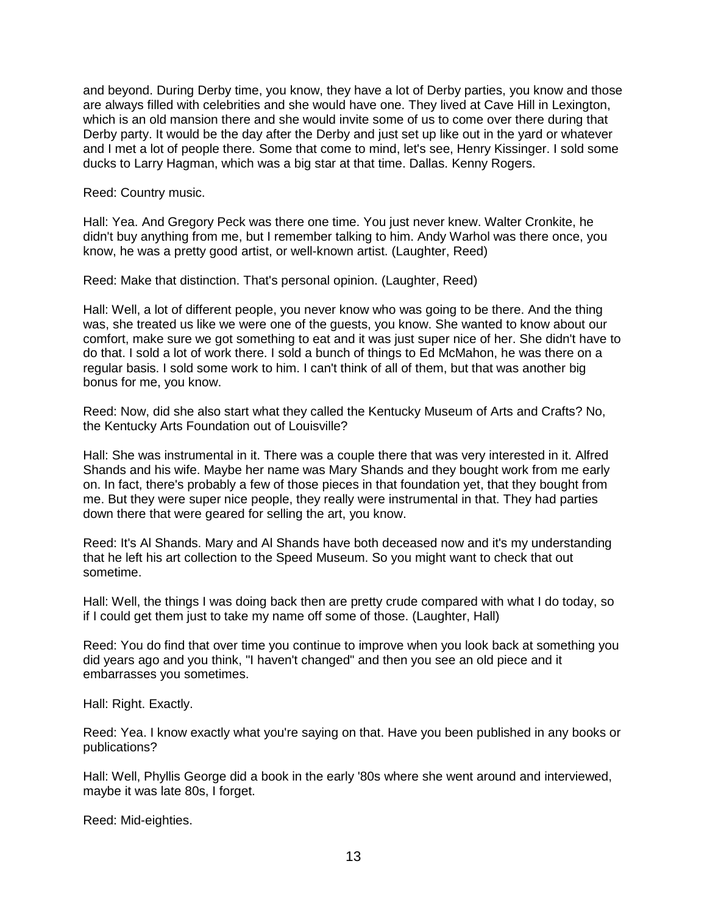and beyond. During Derby time, you know, they have a lot of Derby parties, you know and those are always filled with celebrities and she would have one. They lived at Cave Hill in Lexington, which is an old mansion there and she would invite some of us to come over there during that Derby party. It would be the day after the Derby and just set up like out in the yard or whatever and I met a lot of people there. Some that come to mind, let's see, Henry Kissinger. I sold some ducks to Larry Hagman, which was a big star at that time. Dallas. Kenny Rogers.

Reed: Country music.

Hall: Yea. And Gregory Peck was there one time. You just never knew. Walter Cronkite, he didn't buy anything from me, but I remember talking to him. Andy Warhol was there once, you know, he was a pretty good artist, or well-known artist. (Laughter, Reed)

Reed: Make that distinction. That's personal opinion. (Laughter, Reed)

Hall: Well, a lot of different people, you never know who was going to be there. And the thing was, she treated us like we were one of the guests, you know. She wanted to know about our comfort, make sure we got something to eat and it was just super nice of her. She didn't have to do that. I sold a lot of work there. I sold a bunch of things to Ed McMahon, he was there on a regular basis. I sold some work to him. I can't think of all of them, but that was another big bonus for me, you know.

Reed: Now, did she also start what they called the Kentucky Museum of Arts and Crafts? No, the Kentucky Arts Foundation out of Louisville?

Hall: She was instrumental in it. There was a couple there that was very interested in it. Alfred Shands and his wife. Maybe her name was Mary Shands and they bought work from me early on. In fact, there's probably a few of those pieces in that foundation yet, that they bought from me. But they were super nice people, they really were instrumental in that. They had parties down there that were geared for selling the art, you know.

Reed: It's Al Shands. Mary and Al Shands have both deceased now and it's my understanding that he left his art collection to the Speed Museum. So you might want to check that out sometime.

Hall: Well, the things I was doing back then are pretty crude compared with what I do today, so if I could get them just to take my name off some of those. (Laughter, Hall)

Reed: You do find that over time you continue to improve when you look back at something you did years ago and you think, "I haven't changed" and then you see an old piece and it embarrasses you sometimes.

Hall: Right. Exactly.

Reed: Yea. I know exactly what you're saying on that. Have you been published in any books or publications?

Hall: Well, Phyllis George did a book in the early '80s where she went around and interviewed, maybe it was late 80s, I forget.

Reed: Mid-eighties.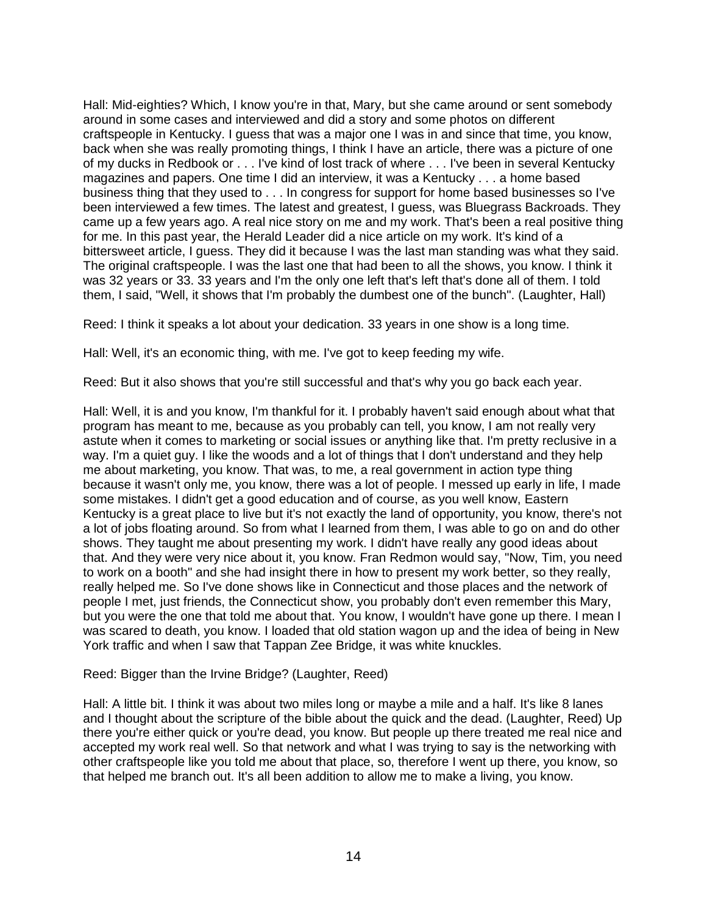Hall: Mid-eighties? Which, I know you're in that, Mary, but she came around or sent somebody around in some cases and interviewed and did a story and some photos on different craftspeople in Kentucky. I guess that was a major one I was in and since that time, you know, back when she was really promoting things, I think I have an article, there was a picture of one of my ducks in Redbook or . . . I've kind of lost track of where . . . I've been in several Kentucky magazines and papers. One time I did an interview, it was a Kentucky . . . a home based business thing that they used to . . . In congress for support for home based businesses so I've been interviewed a few times. The latest and greatest, I guess, was Bluegrass Backroads. They came up a few years ago. A real nice story on me and my work. That's been a real positive thing for me. In this past year, the Herald Leader did a nice article on my work. It's kind of a bittersweet article, I guess. They did it because I was the last man standing was what they said. The original craftspeople. I was the last one that had been to all the shows, you know. I think it was 32 years or 33. 33 years and I'm the only one left that's left that's done all of them. I told them, I said, "Well, it shows that I'm probably the dumbest one of the bunch". (Laughter, Hall)

Reed: I think it speaks a lot about your dedication. 33 years in one show is a long time.

Hall: Well, it's an economic thing, with me. I've got to keep feeding my wife.

Reed: But it also shows that you're still successful and that's why you go back each year.

Hall: Well, it is and you know, I'm thankful for it. I probably haven't said enough about what that program has meant to me, because as you probably can tell, you know, I am not really very astute when it comes to marketing or social issues or anything like that. I'm pretty reclusive in a way. I'm a quiet guy. I like the woods and a lot of things that I don't understand and they help me about marketing, you know. That was, to me, a real government in action type thing because it wasn't only me, you know, there was a lot of people. I messed up early in life, I made some mistakes. I didn't get a good education and of course, as you well know, Eastern Kentucky is a great place to live but it's not exactly the land of opportunity, you know, there's not a lot of jobs floating around. So from what I learned from them, I was able to go on and do other shows. They taught me about presenting my work. I didn't have really any good ideas about that. And they were very nice about it, you know. Fran Redmon would say, "Now, Tim, you need to work on a booth" and she had insight there in how to present my work better, so they really, really helped me. So I've done shows like in Connecticut and those places and the network of people I met, just friends, the Connecticut show, you probably don't even remember this Mary, but you were the one that told me about that. You know, I wouldn't have gone up there. I mean I was scared to death, you know. I loaded that old station wagon up and the idea of being in New York traffic and when I saw that Tappan Zee Bridge, it was white knuckles.

## Reed: Bigger than the Irvine Bridge? (Laughter, Reed)

Hall: A little bit. I think it was about two miles long or maybe a mile and a half. It's like 8 lanes and I thought about the scripture of the bible about the quick and the dead. (Laughter, Reed) Up there you're either quick or you're dead, you know. But people up there treated me real nice and accepted my work real well. So that network and what I was trying to say is the networking with other craftspeople like you told me about that place, so, therefore I went up there, you know, so that helped me branch out. It's all been addition to allow me to make a living, you know.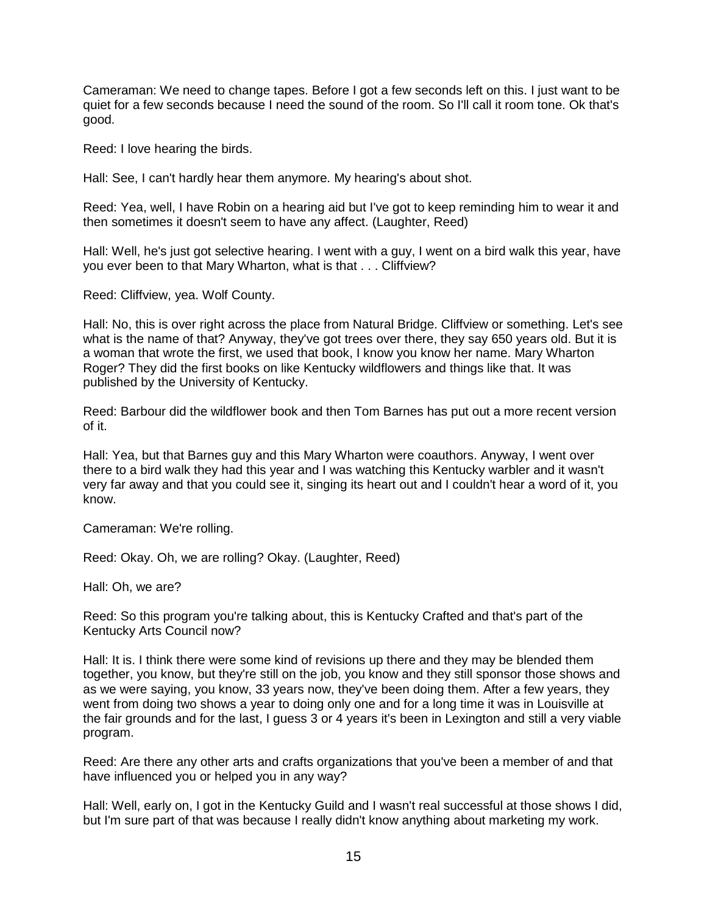Cameraman: We need to change tapes. Before I got a few seconds left on this. I just want to be quiet for a few seconds because I need the sound of the room. So I'll call it room tone. Ok that's good.

Reed: I love hearing the birds.

Hall: See, I can't hardly hear them anymore. My hearing's about shot.

Reed: Yea, well, I have Robin on a hearing aid but I've got to keep reminding him to wear it and then sometimes it doesn't seem to have any affect. (Laughter, Reed)

Hall: Well, he's just got selective hearing. I went with a guy, I went on a bird walk this year, have you ever been to that Mary Wharton, what is that . . . Cliffview?

Reed: Cliffview, yea. Wolf County.

Hall: No, this is over right across the place from Natural Bridge. Cliffview or something. Let's see what is the name of that? Anyway, they've got trees over there, they say 650 years old. But it is a woman that wrote the first, we used that book, I know you know her name. Mary Wharton Roger? They did the first books on like Kentucky wildflowers and things like that. It was published by the University of Kentucky.

Reed: Barbour did the wildflower book and then Tom Barnes has put out a more recent version of it.

Hall: Yea, but that Barnes guy and this Mary Wharton were coauthors. Anyway, I went over there to a bird walk they had this year and I was watching this Kentucky warbler and it wasn't very far away and that you could see it, singing its heart out and I couldn't hear a word of it, you know.

Cameraman: We're rolling.

Reed: Okay. Oh, we are rolling? Okay. (Laughter, Reed)

Hall: Oh, we are?

Reed: So this program you're talking about, this is Kentucky Crafted and that's part of the Kentucky Arts Council now?

Hall: It is. I think there were some kind of revisions up there and they may be blended them together, you know, but they're still on the job, you know and they still sponsor those shows and as we were saying, you know, 33 years now, they've been doing them. After a few years, they went from doing two shows a year to doing only one and for a long time it was in Louisville at the fair grounds and for the last, I guess 3 or 4 years it's been in Lexington and still a very viable program.

Reed: Are there any other arts and crafts organizations that you've been a member of and that have influenced you or helped you in any way?

Hall: Well, early on, I got in the Kentucky Guild and I wasn't real successful at those shows I did, but I'm sure part of that was because I really didn't know anything about marketing my work.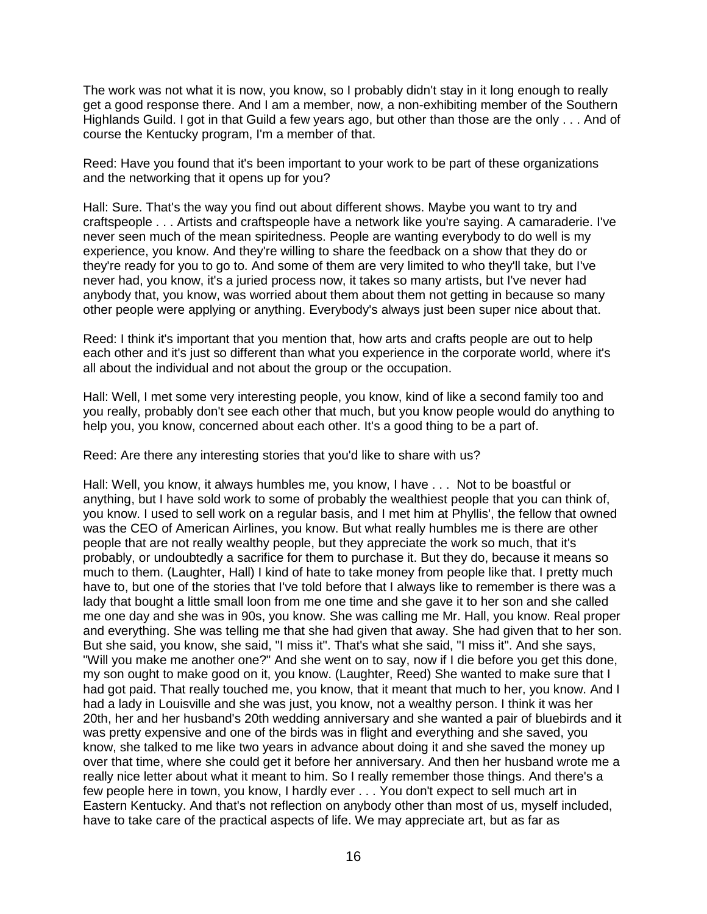The work was not what it is now, you know, so I probably didn't stay in it long enough to really get a good response there. And I am a member, now, a non-exhibiting member of the Southern Highlands Guild. I got in that Guild a few years ago, but other than those are the only . . . And of course the Kentucky program, I'm a member of that.

Reed: Have you found that it's been important to your work to be part of these organizations and the networking that it opens up for you?

Hall: Sure. That's the way you find out about different shows. Maybe you want to try and craftspeople . . . Artists and craftspeople have a network like you're saying. A camaraderie. I've never seen much of the mean spiritedness. People are wanting everybody to do well is my experience, you know. And they're willing to share the feedback on a show that they do or they're ready for you to go to. And some of them are very limited to who they'll take, but I've never had, you know, it's a juried process now, it takes so many artists, but I've never had anybody that, you know, was worried about them about them not getting in because so many other people were applying or anything. Everybody's always just been super nice about that.

Reed: I think it's important that you mention that, how arts and crafts people are out to help each other and it's just so different than what you experience in the corporate world, where it's all about the individual and not about the group or the occupation.

Hall: Well, I met some very interesting people, you know, kind of like a second family too and you really, probably don't see each other that much, but you know people would do anything to help you, you know, concerned about each other. It's a good thing to be a part of.

Reed: Are there any interesting stories that you'd like to share with us?

Hall: Well, you know, it always humbles me, you know, I have . . . Not to be boastful or anything, but I have sold work to some of probably the wealthiest people that you can think of, you know. I used to sell work on a regular basis, and I met him at Phyllis', the fellow that owned was the CEO of American Airlines, you know. But what really humbles me is there are other people that are not really wealthy people, but they appreciate the work so much, that it's probably, or undoubtedly a sacrifice for them to purchase it. But they do, because it means so much to them. (Laughter, Hall) I kind of hate to take money from people like that. I pretty much have to, but one of the stories that I've told before that I always like to remember is there was a lady that bought a little small loon from me one time and she gave it to her son and she called me one day and she was in 90s, you know. She was calling me Mr. Hall, you know. Real proper and everything. She was telling me that she had given that away. She had given that to her son. But she said, you know, she said, "I miss it". That's what she said, "I miss it". And she says, "Will you make me another one?" And she went on to say, now if I die before you get this done, my son ought to make good on it, you know. (Laughter, Reed) She wanted to make sure that I had got paid. That really touched me, you know, that it meant that much to her, you know. And I had a lady in Louisville and she was just, you know, not a wealthy person. I think it was her 20th, her and her husband's 20th wedding anniversary and she wanted a pair of bluebirds and it was pretty expensive and one of the birds was in flight and everything and she saved, you know, she talked to me like two years in advance about doing it and she saved the money up over that time, where she could get it before her anniversary. And then her husband wrote me a really nice letter about what it meant to him. So I really remember those things. And there's a few people here in town, you know, I hardly ever . . . You don't expect to sell much art in Eastern Kentucky. And that's not reflection on anybody other than most of us, myself included, have to take care of the practical aspects of life. We may appreciate art, but as far as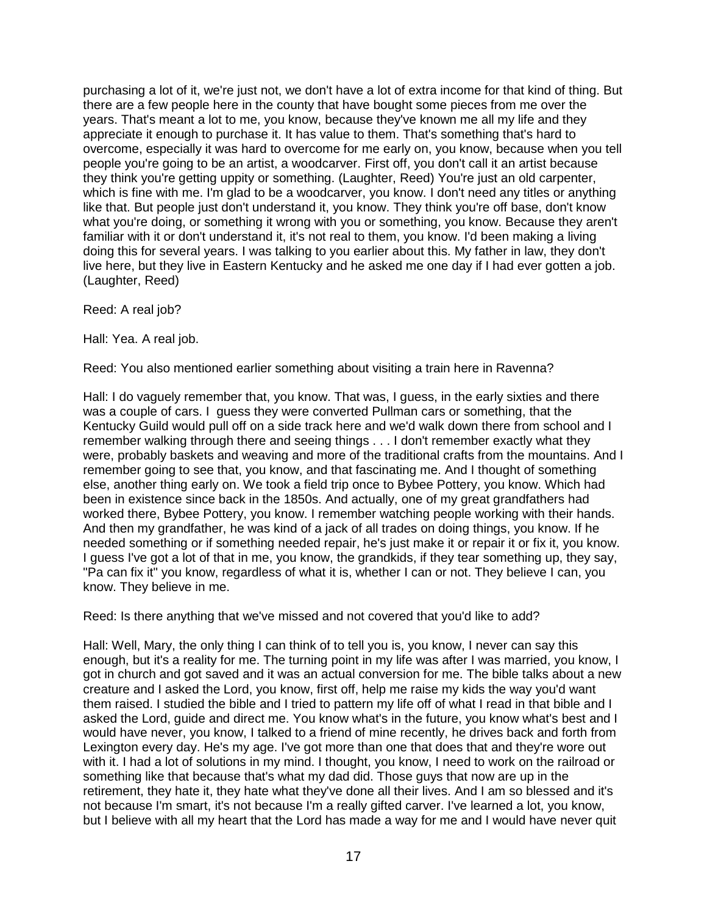purchasing a lot of it, we're just not, we don't have a lot of extra income for that kind of thing. But there are a few people here in the county that have bought some pieces from me over the years. That's meant a lot to me, you know, because they've known me all my life and they appreciate it enough to purchase it. It has value to them. That's something that's hard to overcome, especially it was hard to overcome for me early on, you know, because when you tell people you're going to be an artist, a woodcarver. First off, you don't call it an artist because they think you're getting uppity or something. (Laughter, Reed) You're just an old carpenter, which is fine with me. I'm glad to be a woodcarver, you know. I don't need any titles or anything like that. But people just don't understand it, you know. They think you're off base, don't know what you're doing, or something it wrong with you or something, you know. Because they aren't familiar with it or don't understand it, it's not real to them, you know. I'd been making a living doing this for several years. I was talking to you earlier about this. My father in law, they don't live here, but they live in Eastern Kentucky and he asked me one day if I had ever gotten a job. (Laughter, Reed)

Reed: A real job?

Hall: Yea. A real job.

Reed: You also mentioned earlier something about visiting a train here in Ravenna?

Hall: I do vaguely remember that, you know. That was, I guess, in the early sixties and there was a couple of cars. I guess they were converted Pullman cars or something, that the Kentucky Guild would pull off on a side track here and we'd walk down there from school and I remember walking through there and seeing things . . . I don't remember exactly what they were, probably baskets and weaving and more of the traditional crafts from the mountains. And I remember going to see that, you know, and that fascinating me. And I thought of something else, another thing early on. We took a field trip once to Bybee Pottery, you know. Which had been in existence since back in the 1850s. And actually, one of my great grandfathers had worked there, Bybee Pottery, you know. I remember watching people working with their hands. And then my grandfather, he was kind of a jack of all trades on doing things, you know. If he needed something or if something needed repair, he's just make it or repair it or fix it, you know. I guess I've got a lot of that in me, you know, the grandkids, if they tear something up, they say, "Pa can fix it" you know, regardless of what it is, whether I can or not. They believe I can, you know. They believe in me.

Reed: Is there anything that we've missed and not covered that you'd like to add?

Hall: Well, Mary, the only thing I can think of to tell you is, you know, I never can say this enough, but it's a reality for me. The turning point in my life was after I was married, you know, I got in church and got saved and it was an actual conversion for me. The bible talks about a new creature and I asked the Lord, you know, first off, help me raise my kids the way you'd want them raised. I studied the bible and I tried to pattern my life off of what I read in that bible and I asked the Lord, guide and direct me. You know what's in the future, you know what's best and I would have never, you know, I talked to a friend of mine recently, he drives back and forth from Lexington every day. He's my age. I've got more than one that does that and they're wore out with it. I had a lot of solutions in my mind. I thought, you know, I need to work on the railroad or something like that because that's what my dad did. Those guys that now are up in the retirement, they hate it, they hate what they've done all their lives. And I am so blessed and it's not because I'm smart, it's not because I'm a really gifted carver. I've learned a lot, you know, but I believe with all my heart that the Lord has made a way for me and I would have never quit